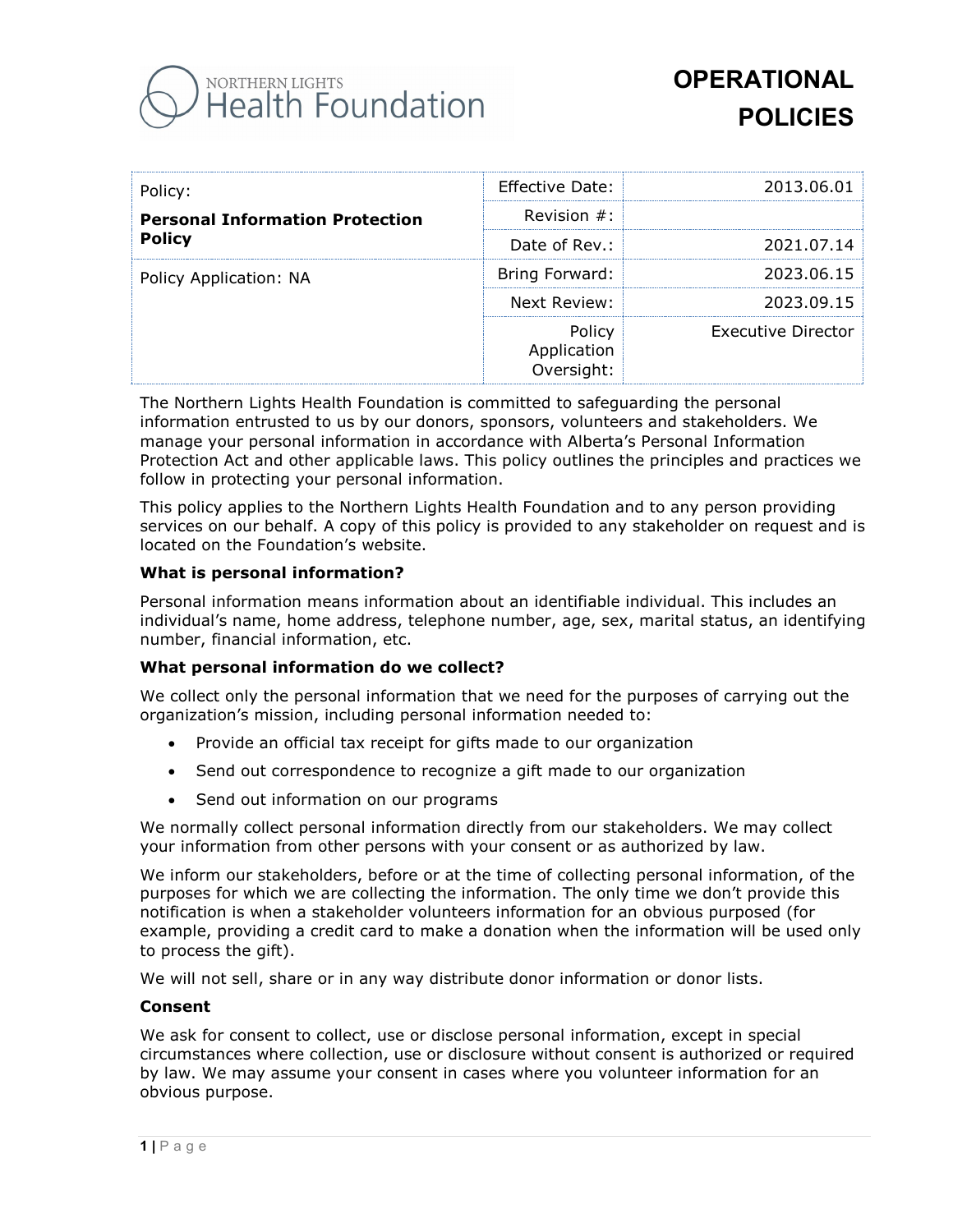

| Policy:<br><b>Personal Information Protection</b><br><b>Policy</b> | Effective Date:                     | 2013.06.01         |
|--------------------------------------------------------------------|-------------------------------------|--------------------|
|                                                                    | Revision $#$ :                      |                    |
|                                                                    | Date of Rev.:                       | 2021.07.14         |
| Policy Application: NA                                             | Bring Forward:                      | 2023.06.15         |
|                                                                    | Next Review:                        | 2023.09.15         |
|                                                                    | Policy<br>Application<br>Oversight: | Executive Director |

The Northern Lights Health Foundation is committed to safeguarding the personal information entrusted to us by our donors, sponsors, volunteers and stakeholders. We manage your personal information in accordance with Alberta's Personal Information Protection Act and other applicable laws. This policy outlines the principles and practices we follow in protecting your personal information.

This policy applies to the Northern Lights Health Foundation and to any person providing services on our behalf. A copy of this policy is provided to any stakeholder on request and is located on the Foundation's website.

## **What is personal information?**

Personal information means information about an identifiable individual. This includes an individual's name, home address, telephone number, age, sex, marital status, an identifying number, financial information, etc.

## **What personal information do we collect?**

We collect only the personal information that we need for the purposes of carrying out the organization's mission, including personal information needed to:

- Provide an official tax receipt for gifts made to our organization
- Send out correspondence to recognize a gift made to our organization
- Send out information on our programs

We normally collect personal information directly from our stakeholders. We may collect your information from other persons with your consent or as authorized by law.

We inform our stakeholders, before or at the time of collecting personal information, of the purposes for which we are collecting the information. The only time we don't provide this notification is when a stakeholder volunteers information for an obvious purposed (for example, providing a credit card to make a donation when the information will be used only to process the gift).

We will not sell, share or in any way distribute donor information or donor lists.

## **Consent**

We ask for consent to collect, use or disclose personal information, except in special circumstances where collection, use or disclosure without consent is authorized or required by law. We may assume your consent in cases where you volunteer information for an obvious purpose.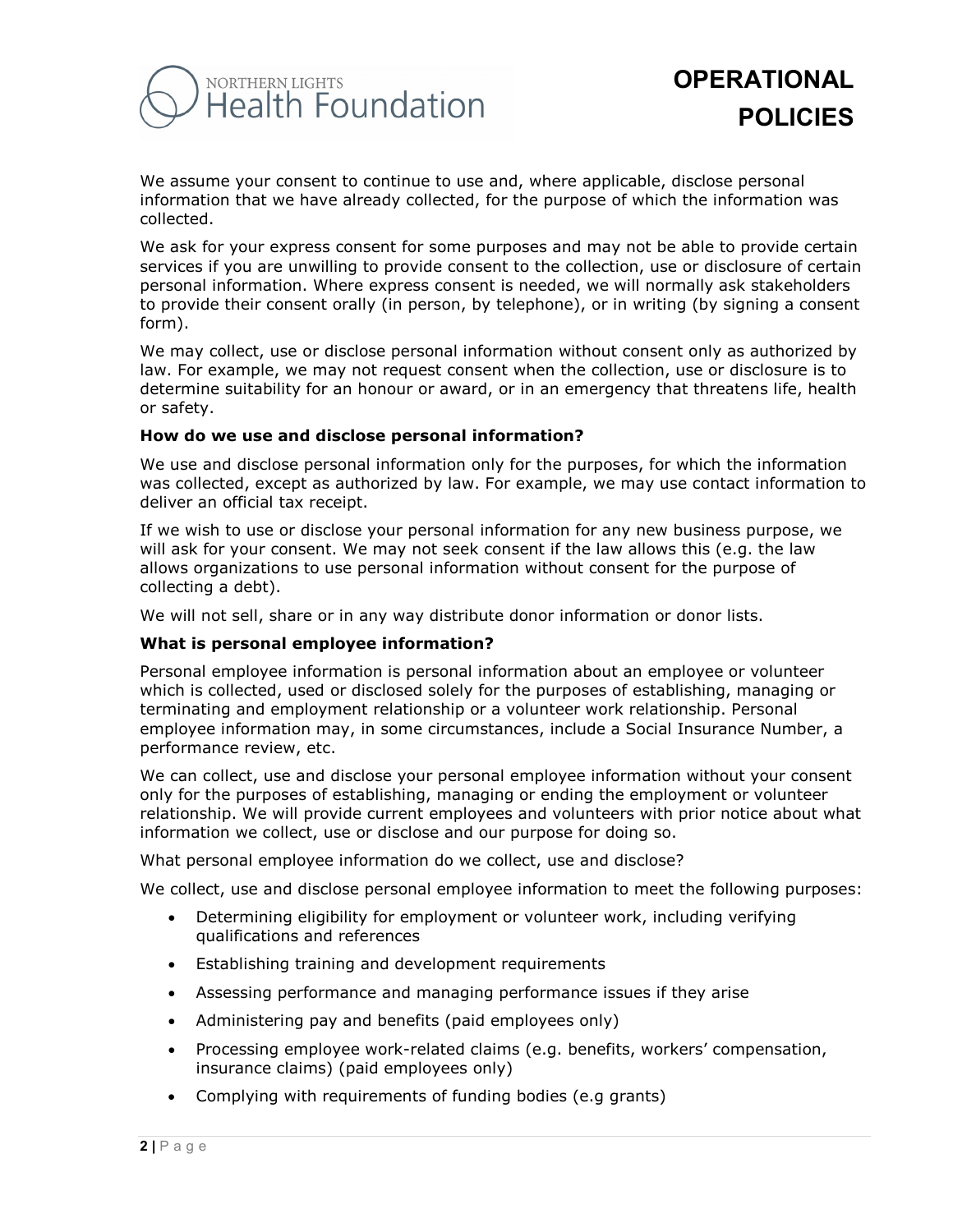

We assume your consent to continue to use and, where applicable, disclose personal information that we have already collected, for the purpose of which the information was collected.

We ask for your express consent for some purposes and may not be able to provide certain services if you are unwilling to provide consent to the collection, use or disclosure of certain personal information. Where express consent is needed, we will normally ask stakeholders to provide their consent orally (in person, by telephone), or in writing (by signing a consent form).

We may collect, use or disclose personal information without consent only as authorized by law. For example, we may not request consent when the collection, use or disclosure is to determine suitability for an honour or award, or in an emergency that threatens life, health or safety.

#### **How do we use and disclose personal information?**

We use and disclose personal information only for the purposes, for which the information was collected, except as authorized by law. For example, we may use contact information to deliver an official tax receipt.

If we wish to use or disclose your personal information for any new business purpose, we will ask for your consent. We may not seek consent if the law allows this (e.g. the law allows organizations to use personal information without consent for the purpose of collecting a debt).

We will not sell, share or in any way distribute donor information or donor lists.

## **What is personal employee information?**

Personal employee information is personal information about an employee or volunteer which is collected, used or disclosed solely for the purposes of establishing, managing or terminating and employment relationship or a volunteer work relationship. Personal employee information may, in some circumstances, include a Social Insurance Number, a performance review, etc.

We can collect, use and disclose your personal employee information without your consent only for the purposes of establishing, managing or ending the employment or volunteer relationship. We will provide current employees and volunteers with prior notice about what information we collect, use or disclose and our purpose for doing so.

What personal employee information do we collect, use and disclose?

We collect, use and disclose personal employee information to meet the following purposes:

- Determining eligibility for employment or volunteer work, including verifying qualifications and references
- Establishing training and development requirements
- Assessing performance and managing performance issues if they arise
- Administering pay and benefits (paid employees only)
- Processing employee work-related claims (e.g. benefits, workers' compensation, insurance claims) (paid employees only)
- Complying with requirements of funding bodies (e.g grants)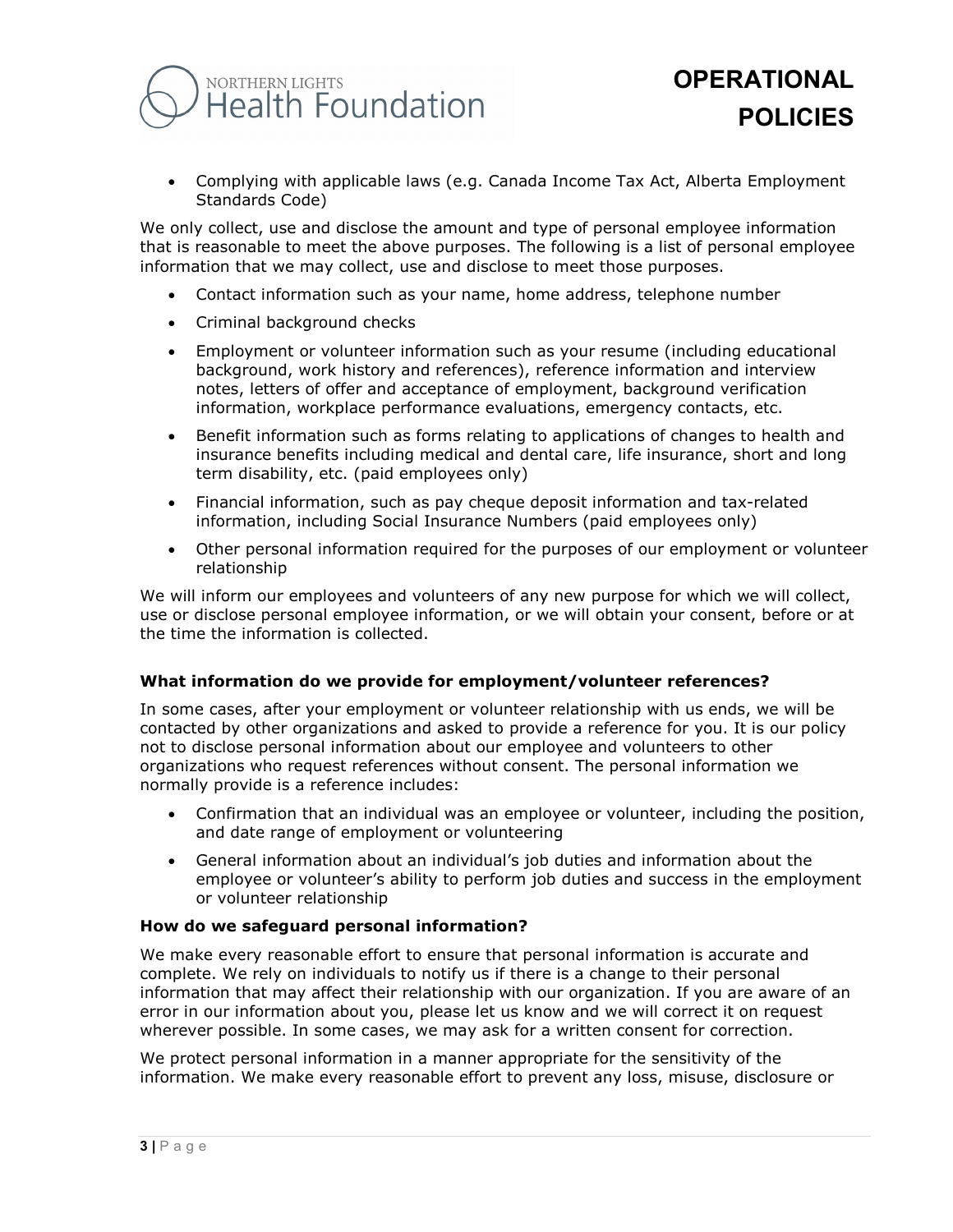

• Complying with applicable laws (e.g. Canada Income Tax Act, Alberta Employment Standards Code)

We only collect, use and disclose the amount and type of personal employee information that is reasonable to meet the above purposes. The following is a list of personal employee information that we may collect, use and disclose to meet those purposes.

- Contact information such as your name, home address, telephone number
- Criminal background checks
- Employment or volunteer information such as your resume (including educational background, work history and references), reference information and interview notes, letters of offer and acceptance of employment, background verification information, workplace performance evaluations, emergency contacts, etc.
- Benefit information such as forms relating to applications of changes to health and insurance benefits including medical and dental care, life insurance, short and long term disability, etc. (paid employees only)
- Financial information, such as pay cheque deposit information and tax-related information, including Social Insurance Numbers (paid employees only)
- Other personal information required for the purposes of our employment or volunteer relationship

We will inform our employees and volunteers of any new purpose for which we will collect, use or disclose personal employee information, or we will obtain your consent, before or at the time the information is collected.

# **What information do we provide for employment/volunteer references?**

In some cases, after your employment or volunteer relationship with us ends, we will be contacted by other organizations and asked to provide a reference for you. It is our policy not to disclose personal information about our employee and volunteers to other organizations who request references without consent. The personal information we normally provide is a reference includes:

- Confirmation that an individual was an employee or volunteer, including the position, and date range of employment or volunteering
- General information about an individual's job duties and information about the employee or volunteer's ability to perform job duties and success in the employment or volunteer relationship

## **How do we safeguard personal information?**

We make every reasonable effort to ensure that personal information is accurate and complete. We rely on individuals to notify us if there is a change to their personal information that may affect their relationship with our organization. If you are aware of an error in our information about you, please let us know and we will correct it on request wherever possible. In some cases, we may ask for a written consent for correction.

We protect personal information in a manner appropriate for the sensitivity of the information. We make every reasonable effort to prevent any loss, misuse, disclosure or